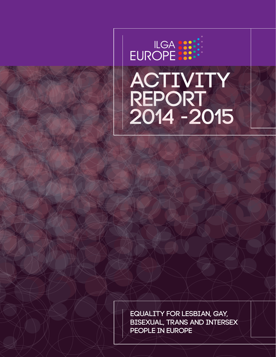

Equality for lesbian, gay, bisexual, trans and intersex people in europe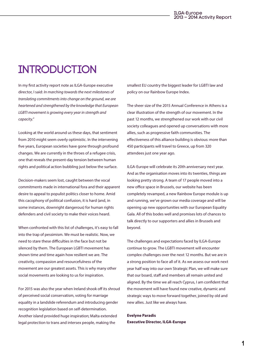### **INTRODUCTION**

In my first activity report note as ILGA-Europe executive director, I said: *In marching towards the next milestones of translating commitments into change on the ground, we are heartened and strengthened by the knowledge that European LGBTI movement is growing every year in strength and capacity.*"

Looking at the world around us these days, that sentiment from 2010 might seem overly optimistic. In the intervening five years, European societies have gone through profound changes. We are currently in the throes of a refugee crisis, one that reveals the present-day tension between human rights and political action bubbling just below the surface.

Decision-makers seem lost, caught between the vocal commitments made in international fora and their apparent desire to appeal to populist politics closer to home. Amid this cacophony of political confusion, it is hard (and, in some instances, downright dangerous) for human rights defenders and civil society to make their voices heard.

When confronted with this list of challenges, it's easy to fall into the trap of pessimism. We must be realistic. Now, we need to stare these difficulties in the face but not be silenced by them. The European LGBTI movement has shown time and time again how resilient we are. The creativity, compassion and resourcefulness of the movement are our greatest assets. This is why many other social movements are looking to us for inspiration.

For 2015 was also the year when Ireland shook off its shroud of perceived social conservatism, voting for marriage equality in a landslide referendum and introducing gender recognition legislation based on self-determination. Another island provided huge inspiration; Malta extended legal protection to trans and intersex people, making the

smallest EU country the biggest leader for LGBTI law and policy on our Rainbow Europe Index.

The sheer size of the 2015 Annual Conference in Athens is a clear illustration of the strength of our movement. In the past 12 months, we strengthened our work with our civil society colleagues and opened up conversations with more allies, such as progressive faith communities. The effectiveness of this alliance building is obvious: more than 450 participants will travel to Greece, up from 320 attendees just one year ago.

ILGA-Europe will celebrate its 20th anniversary next year. And as the organisation moves into its twenties, things are looking pretty strong. A team of 17 people moved into a new office space in Brussels, our website has been completely revamped, a new Rainbow Europe module is up and running, we've grown our media coverage and will be opening up new opportunities with our European Equality Gala. All of this bodes well and promises lots of chances to talk directly to our supporters and allies in Brussels and beyond.

The challenges and expectations faced by ILGA-Europe continue to grow. The LGBTI movement will encounter complex challenges over the next 12 months. But we are in a strong position to face all of it. As we assess our work next year half way into our own Strategic Plan, we will make sure that our board, staff and members all remain united and aligned. By the time we all reach Cyprus, I am confident that the movement will have found new creative, dynamic and strategic ways to move forward together, joined by old and new allies. Just like we always have.

**Evelyne Paradis Executive Director, ILGA-Europe**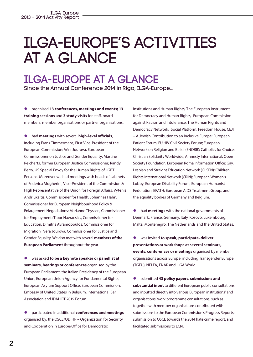# ILGA-Europe's activities at a Glance

## ILGA-Europe at a glance

Since the Annual Conference 2014 in Riga, ILGA-Europe…

 $\bullet$  organised 13 conferences, meetings and events; 13 **training sessions** and **3 study visits** for staff, board members, member organisations or partner organisations.

**•** had **meetings** with several **high-level officials**, including Frans Timmermans, First Vice-President of the European Commission; Věra Jourová, European Commissioner on Justice and Gender Equality; Martine Reicherts, former European Justice Commissioner; Randy Berry, US Special Envoy for the Human Rights of LGBT Persons. Moreover we had meetings with heads of cabinets of Federica Mogherini, Vice-President of the Commission & High Representative of the Union for Foreign Affairs; Vytenis Andriukaitis, Commissioner for Health; Johannes Hahn, Commissioner for European Neighbourhood Policy & Enlargement Negotiations; Marianne Thyssen, Commissioner for Employment; Tibor Navracsics, Commissioner for Education; Dimitris Avramopoulos, Commissioner for Migration; Věra Jourová, Commissioner for Justice and Gender Equality. We also met with several **members of the European Parliament** throughout the year.

l was asked **to be a keynote speaker or panellist at seminars, hearings or conferences** organised by the European Parliament, the Italian Presidency of the European Union, European Union Agency for Fundamental Rights, European Asylum Support Office, European Commission, Embassy of United States in Belgium, International Bar Association and IDAHOT 2015 Forum.

 $\bullet$  participated in additional **conferences and meetings** organised by: the OSCE/ODIHR – Organization for Security and Cooperation in Europe/Office for Democratic

Institutions and Human Rights; The European Instrument for Democracy and Human Rights; European Commission against Racism and Intolerance; The Human Rights and Democracy Network; Social Platform; Freedom House; CEJI – A Jewish Contribution to an Inclusive Europe; European Patient Forum; EU HIV Civil Society Forum; European Network on Religion and Belief (ENORB); Catholics for Choice; Christian Solidarity Worldwide; Amnesty International; Open Society Foundation; European Roma Information Office; Gay, Lesbian and Straight Education Network (GLSEN); Children Rights International Network (CRIN); European Women's Lobby; European Disability Forum; European Humanist Federation; EPATH; European AIDS Treatment Group; and the equality bodies of Germany and Belgium.

l had **meetings** with the national governments of Denmark, France, Germany, Italy, Kosovo, Luxembourg, Malta, Montenegro, The Netherlands and the United States.

l was invited **to speak, participate, deliver presentations or workshops at several seminars, events, conferences or meetings** organised by member organisations across Europe, including Transgender Europe (TGEU), NELFA, ENAR and ILGA World.

 $\bullet$  submitted 43 policy papers, submissions and **substantial input** to different European public consultations and inputted directly into various European institutions' and organisations' work programme consultations, such as together with member organisations contributed with submissions to the European Commission's Progress Reports; submission to OSCE towards the 2014 hate crime report; and facilitated submissions to ECRI.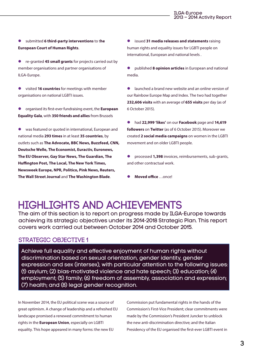- l submitted **6 third-party interventions** to t**he European Court of Human Rights**.
- **e** re-granted **45 small grants** for projects carried out by member organisations and partner organisations of ILGA-Europe.
- **e** visited **16 countries** for meetings with member organisations on national LGBTI issues.
- l organised its first-ever fundraising event, the **European Equality Gala**, with **350 friends and allies** from Brussels
- **•** was featured or quoted in international, European and national media **293 times** in at least **35 countries**, by outlets such as **The Advocate, BBC News, Buzzfeed, CNN, Deutsche Welle, The Economist, Euractiv, Euronews, The EU Observer, Gay Star News, The Guardian, The Huffington Post, The Local, The New York Times, Newsweek Europe, NPR, Politico, Pink News, Reuters, The Wall Street Journal** and **The Washington Blade**.

l issued **31 media releases and statements** raising human rights and equality issues for LGBTI people on international, European and national levels .

l published **8 opinion articles** in European and national media.

- l launched a brand new website and an online version of our Rainbow Europe Map and Index. The two had together **232,606 visits** with an average of **655 visits** per day (as of 6 October 2015).
- l had **22,999 'likes'** on our **Facebook** page and **14,619 followers** on **Twitter** (as of 6 October 2015). Moreover we created **2 social media campaigns** on women in the LGBTI movement and on older LGBTI people.
- l processed **1,398** invoices, reimbursements, sub-grants, and other contractual work.
- l **Moved office** …once!

### Highlights and achievements

The aim of this section is to report on progress made by ILGA-Europe towards achieving its strategic objectives under its 2014-2018 Strategic Plan. This report covers work carried out between October 2014 and October 2015.

#### STRATEGIC OBJECTIVE 1

Achieve full equality and effective enjoyment of human rights without discrimination based on sexual orientation, gender identity, gender expression and sex (intersex), with particular attention to the following issues: (1) asylum; (2) bias-motivated violence and hate speech; (3) education; (4) employment; (5) family; (6) freedom of assembly, association and expression; (7) health; and (8) legal gender recognition.

In November 2014, the EU political scene was a source of great optimism. A change of leadership and a refreshed EU landscape promised a renewed commitment to human rights in the **European Union**, especially on LGBTI equality. This hope appeared in many forms: the new EU

Commission put fundamental rights in the hands of the Commission's First-Vice President; clear commitments were made by the Commission's President Juncker to unblock the new anti-discrimination directive; and the Italian Presidency of the EU organised the first-ever LGBTI event in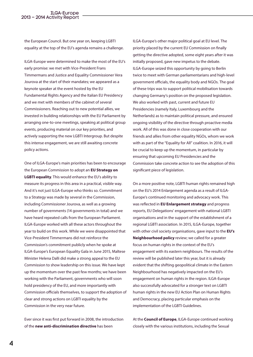the European Council. But one year on, keeping LGBTI equality at the top of the EU's agenda remains a challenge.

ILGA-Europe were determined to make the most of the EU's early promise: we met with Vice-President Frans Timmermans and Justice and Equality Commissioner Vera Jourova at the start of their mandates; we appeared as a keynote speaker at the event hosted by the EU Fundamental Rights Agency and the Italian EU Presidency and we met with members of the cabinet of several Commissioners. Reaching out to new potential allies, we invested in building relationships with the EU Parliament by arranging one-to-one meetings, speaking at political group events, producing material on our key priorities, and actively supporting the new LGBTI Intergroup. But despite this intense engagement, we are still awaiting concrete policy actions.

One of ILGA-Europe's main priorities has been to encourage the European Commission to adopt an **EU Strategy on LGBTI equality**. This would enhance the EU's ability to measure its progress in this area in a practical, visible way. And it's not just ILGA-Europe who thinks so. Commitment to a Strategy was made by several in the Commission, including Commissioner Jourova, as well as a growing number of governments (14 governments in total) and we have heard repeated calls from the European Parliament. ILGA-Europe worked with all these actors throughout the year to build on this work. While we were disappointed that Vice-President Timmermans did not reinforce the Commission's commitment publicly when he spoke at ILGA-Europe's European Equality Gala in June 2015, Maltese Minister Helena Dalli did make a strong appeal to the EU Commission to show leadership on this issue. We have kept up the momentum over the past few months; we have been working with the Parliament, governments who will soon hold presidency of the EU, and more importantly with Commission officials themselves, to support the adoption of clear and strong actions on LGBTI equality by the Commission in the very near future.

Ever since it was first put forward in 2008, the introduction of the **new anti-discrimination directive** has been

ILGA-Europe's other major political goal at EU level. The priority placed by the current EU Commission on finally getting the directive adopted, some eight years after it was initially proposed, gave new impetus to the debate. ILGA-Europe seized this opportunity by going to Berlin twice to meet with German parliamentarians and high-level government officials, the equality body and NGOs. The goal of these trips was to support political mobilisation towards changing Germany's position on the proposed legislation. We also worked with past, current and future EU Presidencies (namely Italy, Luxembourg and the Netherlands) as to maintain political pressure, and ensured ongoing visibility of the directive through proactive media work. All of this was done in close cooperation with our friends and allies from other equality NGOs, whom we work with as part of the "Equality for All" coalition. In 2016, it will be crucial to keep up the momentum, in particular by ensuring that upcoming EU Presidencies and the Commission take concrete action to see the adoption of this significant piece of legislation.

On a more positive note, LGBTI human rights remained high on the EU's 2014 Enlargement agenda as a result of ILGA-Europe's continued monitoring and advocacy work. This was reflected in **EU Enlargement strategy** and progress reports, EU Delegations' engagement with national LGBTI organisations and in the support of the establishment of a regional LGBTI association. In 2015, ILGA-Europe, together with other civil society organisations, gave input to the **EU's Neighbourhood policy** review; we called for a greater focus on human rights in the context of the EU's engagement with its eastern neighbours. The results of the review will be published later this year, but it is already evident that the shifting geopolitical climate in the Eastern Neighbourhood has negatively impacted on the EU's engagement on human rights in the region. ILGA-Europe also successfully advocated for a stronger text on LGBTI human rights in the new EU Action Plan on Human Rights and Democracy, placing particular emphasis on the implementation of the LGBTI Guidelines.

At the **Council of Europe**, ILGA-Europe continued working closely with the various institutions, including the Sexual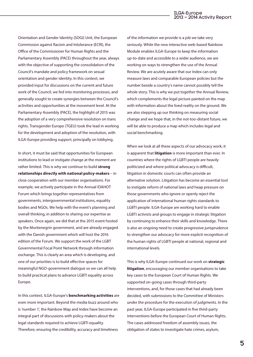Orientation and Gender Identity (SOGI) Unit, the European Commission against Racism and Intolerance (ECRI), the Office of the Commissioner for Human Rights and the Parliamentary Assembly (PACE) throughout the year, always with the objective of supporting the consolidation of the Council's mandate and policy framework on sexual orientation and gender identity. In this context, we provided input for discussions on the current and future work of the Council, we fed into monitoring processes, and generally sought to create synergies between the Council's activities and opportunities at the movement level. At the Parliamentary Assembly (PACE), the highlight of 2015 was the adoption of a very comprehensive resolution on trans rights. Transgender Europe (TGEU) took the lead in working for the development and adoption of the resolution, with ILGA-Europe providing support, principally on lobbying.

In short, it must be said that opportunities for European institutions to lead or instigate change at the moment are rather limited. This is why we continue to build **strong relationships directly with national policy-makers** – in close cooperation with our member organisations. For example, we actively participate in the Annual IDAHOT Forum which brings together representatives from governments, intergovernmental institutions, equality bodies and NGOs. We help with the event's planning and overall thinking, in addition to sharing our expertise as speakers. Once again, we did that at the 2015 event hosted by the Montenegrin government, and are already engaged with the Danish government which will host the 2016 edition of the Forum. We support the work of the LGBT Governmental Focal Point Network through information exchange. This is clearly an area which is developing, and one of our priorities is to build effective spaces for meaningful NGO-government dialogue so we can all help to build practical plans to advance LGBTI equality across Europe.

In this context, ILGA-Europe's **benchmarking activities** are even more important. Beyond the media buzz around who is 'number 1', the Rainbow Map and Index have become an integral part of discussions with policy-makers about the legal standards required to achieve LGBTI equality. Therefore, ensuring the credibility, accuracy and timeliness

of the information we provide is a job we take very seriously. While the new interactive web-based Rainbow Module enables ILGA-Europe to keep the information up-to-date and accessible to a wider audience, we are working on ways to strengthen the use of the Annual Review. We are acutely aware that our Index can only measure laws and comparable European policies but the number beside a country's name cannot possibly tell the whole story. This is why we put together the Annual Review, which complements the legal picture painted on the map with information about the lived reality on the ground. We are also stepping up our thinking on measuring social change and we hope that, in the not-too-distant future, we will be able to produce a map which includes legal and social benchmarking.

When we look at all these aspects of our advocacy work, it is apparent that **litigation** is more important than ever. In countries where the rights of LGBTI people are heavily politicized and where political advocacy is difficult, litigation in domestic courts can often provide an alternative solution. Litigation has become an essential tool to instigate reform of national laws and heap pressure on those governments who ignore or openly reject the application of international human rights standards to LGBTI people. ILGA-Europe are working hard to enable LGBTI activists and groups to engage in strategic litigation by continuing to enhance their skills and knowledge. There is also an ongoing need to create progressive jurisprudence to strengthen our advocacy for more explicit recognition of the human rights of LGBTI people at national, regional and international levels.

This is why ILGA-Europe continued our work on **strategic litigation**, encouraging our member organisations to take key cases to the European Court of Human Rights. We supported on-going cases through third-party interventions, and, for those cases that had already been decided, with submissions to the Committee of Ministers under the procedure for the execution of judgments. In the past year, ILGA-Europe participated in five third-party interventions before the European Court of Human Rights. The cases addressed freedom of assembly issues, the obligation of states to investigate hate crimes, asylum,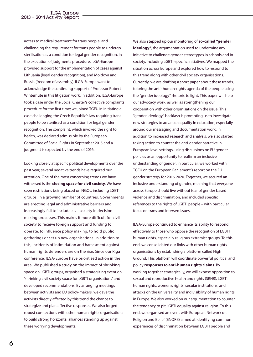access to medical treatment for trans people, and challenging the requirement for trans people to undergo sterilisation as a condition for legal gender recognition. In the execution of judgments procedure, ILGA-Europe provided support for the implementation of cases against Lithuania (legal gender recognition), and Moldova and Russia (freedom of assembly). ILGA-Europe want to acknowledge the continuing support of Professor Robert Wintemute in this litigation work. In addition, ILGA-Europe took a case under the Social Charter's collective complaints procedure for the first time; we joined TGEU in initiating a case challenging the Czech Republic's law requiring trans people to be sterilised as a condition for legal gender recognition. The complaint, which invoked the right to health, was declared admissible by the European Committee of Social Rights in September 2015 and a judgment is expected by the end of 2016.

Looking closely at specific political developments over the past year, several negative trends have required our attention. One of the most concerning trends we have witnessed is the **closing space for civil society**. We have seen restrictions being placed on NGOs, including LGBTI groups, in a growing number of countries. Governments are erecting legal and administrative barriers and increasingly fail to include civil society in decisionmaking processes. This makes it more difficult for civil society to receive foreign support and funding to operate, to influence policy making, to hold public gatherings or set up new organisations. In addition to this, incidents of intimidation and harassment against human rights defenders are on the rise. Since our Riga conference, ILGA-Europe have prioritised action in the area. We published a study on the impact of shrinking space on LGBTI groups, organised a strategizing event on 'shrinking civil society space for LGBTI organisations' and developed recommendations. By arranging meetings between activists and EU policy-makers, we gave the activists directly affected by this trend the chance to strategize and plan effective responses. We also forged robust connections with other human rights organisations to build strong horizontal alliances standing up against these worrying developments.

We also stepped up our monitoring of **so-called "gender**  ideology", the argumentation used to undermine any initiative to challenge gender stereotypes in schools and in society, including LGBTI-specific initiatives. We mapped the situation across Europe and explored how to respond to this trend along with other civil society organisations. Currently, we are drafting a short paper about these trends, to bring the anti- human-rights agenda of the people using the "gender ideology" rhetoric to light. This paper will help our advocacy work, as well as strengthening our cooperation with other organisations on the issue. This "gender ideology" backlash is prompting us to investigate new strategies to advance equality in education, especially around our messaging and documentation work. In addition to increased research and analysis, we also started taking action to counter the anti-gender narrative in European level settings, using discussions on EU gender policies as an opportunity to reaffirm an inclusive understanding of gender. In particular, we worked with TGEU on the European Parliament's report on the EU gender strategy for 2016-2020. Together, we secured an inclusive understanding of gender, meaning that everyone across Europe should live without fear of gender based violence and discrimination, and included specific references to the rights of LGBTI people – with particular focus on trans and intersex issues.

ILGA-Europe continued to enhance its ability to respond effectively to those who oppose the recognition of LGBTI human rights, especially religious extremist groups. To this end, we consolidated our links with other human rights organisations by establishing a platform called High Ground. This platform will coordinate powerful political and policy **responses to anti-human rights claims**. By working together strategically, we will expose opposition to sexual and reproductive health and rights (SRHR), LGBTI human rights, women's rights, secular institutions, and attacks on the universality and indivisibility of human rights in Europe. We also worked on our argumentation to counter the tendency to pit LGBTI equality against religion. To this end, we organised an event with European Network on Religion and Belief (ENORB) aimed at identifying common experiences of discrimination between LGBTI people and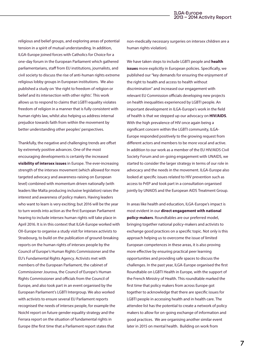religious and belief groups, and exploring areas of potential tension in a spirit of mutual understanding. In addition, ILGA-Europe joined forces with Catholics for Choice for a one-day forum in the European Parliament which gathered parliamentarians, staff from EU institutions, journalists, and civil society to discuss the rise of anti-human rights extreme religious lobby groups in European institutions. We also published a study on 'the right to freedom of religion or belief and its intersection with other rights'. This work allows us to respond to claims that LGBTI equality violates freedom of religion in a manner that is fully consistent with human rights law, whilst also helping us address internal prejudice towards faith from within the movement by better understanding other peoples' perspectives.

Thankfully, the negative and challenging trends are offset by extremely positive advances. One of the most encouraging developments is certainly the increased **visibility of intersex issues** in Europe. The ever-increasing strength of the intersex movement (which allowed for more targeted advocacy and awareness-raising on European level) combined with momentum driven nationally (with leaders like Malta producing inclusive legislation) raises the interest and awareness of policy makers. Having leaders who want to learn is very exciting; but 2016 will be the year to turn words into action as the first European Parliament hearing to include intersex human rights will take place in April 2016. It is in this context that ILGA-Europe worked with OII-Europe to organise a study visit for intersex activists to Strasbourg, to build on the publication of ground-breaking reports on the human rights of intersex people by the Council of Europe's Human Rights Commissioner and the EU's Fundamental Rights Agency. Activists met with members of the European Parliament, the cabinet of Commissioner Jourova, the Council of Europe's Human Rights Commissioner and officials from the Council of Europe, and also took part in an event organised by the European Parliament's LGBTI Intergroup. We also worked with activists to ensure several EU Parliament reports recognised the needs of intersex people, for example the Noichl report on future gender equality strategy and the Ferrara report on the situation of fundamental rights in Europe (the first time that a Parliament report states that

non-medically necessary surgeries on intersex children are a human rights violation).

We have taken steps to include LGBTI people and **health issues** more explicitly in European policies. Specifically, we published our "key demands for ensuring the enjoyment of the right to health and access to health without discrimination" and increased our engagement with relevant EU Commission officials developing new projects on health inequalities experienced by LGBTI people. An important development in ILGA-Europe's work in the field of health is that we stepped up our advocacy on **HIV/AIDS**. With the high prevalence of HIV once again being a significant concern within the LGBTI community, ILGA-Europe responded positively to the growing request from different actors and members to be more vocal and active. In addition to our work as a member of the EU HIV/AIDS Civil Society Forum and on-going engagement with UNAIDS, we started to consider the larger strategy in terms of our role in advocacy and the needs in the movement. ILGA-Europe also looked at specific issues related to HIV prevention such as access to PrEP and took part in a consultation organised jointly by UNAIDS and the European AIDS Treatment Group.

In areas like health and education, ILGA-Europe's impact is most evident in our **direct engagement with national policy-makers**. Roundtables are our preferred model, bringing together national policy-makers and activists to exchange good practices on a specific topic. Not only is this approach helping us to overcome the issue of limited European competences in these areas, it is also proving more effective by ensuring practical peer learning opportunities and providing safe spaces to discuss the challenges. In the past year, ILGA-Europe organised the first Roundtable on LGBTI Health in Europe, with the support of the French Ministry of Health. This roundtable marked the first time that policy makers from across Europe got together to acknowledge that there are specific issues for LGBTI people in accessing health and in health care. The attendee list has the potential to create a network of policy makers to allow for on-going exchange of information and good practices. We are organising another similar event later in 2015 on mental health. Building on work from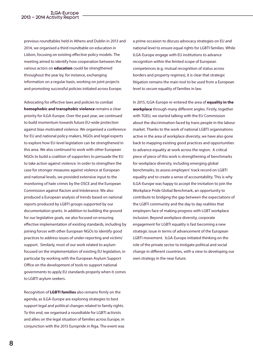previous roundtables held in Athens and Dublin in 2013 and 2014, we organised a third roundtable on education in Lisbon, focusing on existing effective policy models. The meeting aimed to identify how cooperation between the various actors on **education** could be strengthened throughout the year by, for instance, exchanging information on a regular basis, working on joint projects and promoting successful policies initiated across Europe.

Advocating for effective laws and policies to combat **homophobic and transphobic violence** remains a clear priority for ILGA-Europe. Over the past year, we continued to build momentum towards future EU-wide protection against bias-motivated violence. We organised a conference for EU and national policy-makers, NGOs and legal experts to explore how EU-level legislation can be strengthened in this area. We also continued to work with other European NGOs to build a coalition of supporters to persuade the EU to take action against violence. In order to strengthen the case for stronger measures against violence at European and national levels, we provided extensive input to the monitoring of hate crimes by the OSCE and the European Commission against Racism and Intolerance. We also produced a European analysis of trends based on national reports produced by LGBTI groups supported by our documentation grants. In addition to building the ground for our legislative goals, we also focused on ensuring effective implementation of existing standards, including by joining forces with other European NGOs to identify good practices to address issues of under-reporting and victims' support. Similarly, most of our work related to asylum focused on the implementation of existing EU legislation, in particular by working with the European Asylum Support Office on the development of tools to support national governments to apply EU standards properly when it comes to LGBTI asylum seekers.

Recognition of **LGBTI families** also remains firmly on the agenda, as ILGA-Europe are exploring strategies to best support legal and political changes related to family rights. To this end, we organised a roundtable for LGBTI activists and allies on the legal situation of families across Europe, in conjunction with the 2015 Europride in Riga. The event was a prime occasion to discuss advocacy strategies on EU and national level to ensure equal rights for LGBTI families. While ILGA-Europe engage with EU institutions to advance recognition within the limited scope of European competences (e.g. mutual recognition of status across borders and property regimes), it is clear that strategic litigation remains the main tool to be used from a European level to secure equality of families in law.

In 2015, ILGA-Europe re-entered the area of **equality in the workplace** through many different angles. Firstly, together with TGEU, we started talking with the EU Commission about the discrimination faced by trans people in the labour market. Thanks to the work of national LGBTI organisations active in the area of workplace diversity, we have also gone back to mapping existing good practices and opportunities to advance equality at work across the region. A critical piece of piece of this work is strengthening of benchmarks for workplace diversity, including emerging global benchmarks, to assess employers' track record on LGBTI equality and to create a sense of accountability. This is why ILGA-Europe was happy to accept the invitation to join the Workplace Pride Global Benchmark, an opportunity to contribute to bridging the gap between the expectations of the LGBTI community and the day to day realities that employers face of making progress with LGBT workplace inclusion. Beyond workplace diversity, corporate engagement for LGBTI equality is fast becoming a new strategic issue in terms of advancement of the European LGBTI movement. ILGA-Europe initiated thinking on the role of the private sector to instigate political and social change in different countries, with a view to developing our own strategy in the near future.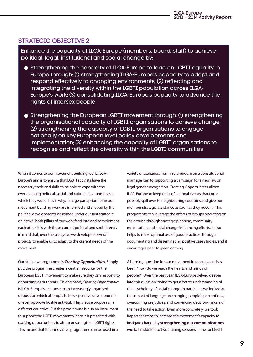#### STRATEGIC OBJECTIVE 2

Enhance the capacity of ILGA-Europe (members, board, staff) to achieve political, legal, institutional and social change by:

- Strengthening the capacity of ILGA-Europe to lead on LGBTI equality in Europe through: (1) strengthening ILGA-Europe's capacity to adapt and respond effectively to changing environments; (2) reflecting and integrating the diversity within the LGBTI population across ILGA-Europe's work; (3) consolidating ILGA-Europe's capacity to advance the rights of intersex people
- Strengthening the European LGBTI movement through: (1) strengthening the organisational capacity of LGBTI organisations to achieve change; (2) strengthening the capacity of LGBTI organisations to engage nationally on key European level policy developments and implementation; (3) enhancing the capacity of LGBTI organisations to recognise and reflect the diversity within the LGBTI communities

When it comes to our movement building work, ILGA-Europe's aim is to ensure that LGBTI activists have the necessary tools and skills to be able to cope with the ever-evolving political, social and cultural environments in which they work. This is why, in large part, priorities in our movement building work are informed and shaped by the political developments described under our first strategic objective; both pillars of our work feed into and complement each other. It is with these current political and social trends in mind that, over the past year, we developed several projects to enable us to adapt to the current needs of the movement.

Our first new programme is *Creating Opportunities*. Simply put, the programme creates a central resource for the European LGBTI movement to make sure they can respond to opportunities or threats. On one hand, *Creating Opportunities* is ILGA‐Europe's response to an increasingly organised opposition which attempts to block positive developments or even approve hostile anti‐LGBTI legislative proposals in different countries. But the programme is also an instrument to support the LGBTI movement where it is presented with exciting opportunities to affirm or strengthen LGBTI rights. This means that this innovative programme can be used in a

variety of scenarios, from a referendum on a constitutional marriage ban to supporting a campaign for a new law on legal gender recognition. Creating Opportunities allows ILGA‐Europe to keep track of national events that could possibly spill over to neighbouring countries and give our member strategic assistance as soon as they need it. This programme can leverage the efforts of groups operating on the ground through strategic planning, community mobilisation and social change influencing efforts. It also helps to make optimal use of good practices, through documenting and disseminating positive case studies, and it encourages peer-to-peer learning.

A burning question for our movement in recent years has been: "how do we reach the hearts and minds of people?" Over the past year, ILGA-Europe delved deeper into this question, trying to get a better understanding of the psychology of social change. In particular, we looked at the impact of language on changing people's perceptions, overcoming prejudices, and convincing decision-makers of the need to take action. Even more concretely, we took important steps to increase the movement's capacity to instigate change by **strengthening our communications work**. In addition to two training sessions – one for LGBTI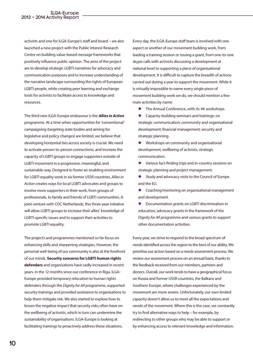activists and one for ILGA-Europe's staff and board – we also launched a new project with the Public Interest Research Centre on building value-based message frameworks that positively influence public opinion. The aims of the project are to develop strategic LGBTI narratives for advocacy and communication purposes and to increase understanding of the narrative landscape surrounding the rights of European LGBTI people, while creating peer learning and exchange tools for activists to facilitate access to knowledge and resources.

The third new ILGA-Europe endeavour is the *Allies in Action* programme. At a time when opportunities for 'conventional' campaigning (targeting state bodies and aiming for legislative and policy changes) are limited, we believe that developing horizontal ties across society is crucial. We need to activate person-to-person connections, and increase the capacity of LGBTI groups to engage supporters outside of LGBTI movement in a progressive, meaningful, and sustainable way. Designed to foster an enabling environment for LGBTI equality work in six former USSR countries, *Allies in Action* creates ways for local LGBTI advocates and groups to involve more supporters in their work, from groups of professionals, to family and friends of LGBTI communities. A joint venture with COC Netherlands, this three-year initiative will allow LGBTI groups to increase their allies' knowledge of LGBTI-specific issues and to support their activities to promote LGBTI equality.

The projects and programmes mentioned so far focus on enhancing skills and sharpening strategies. However, the personal well-being of our community is also at the forefront of our minds. **Security concerns for LGBTI human rights defenders** and organisations have sadly increased in recent years. In the 12 months since our conference in Riga, ILGA-Europe provided temporary relocation to human rights defenders through the *Dignity for All* programme, supported security trainings and provided assistance to organisations to help them mitigate risk. We also started to explore how to lessen the negative impact that security risks often have on the wellbeing of activists, which in turn can undermine the sustainability of organisations. ILGA-Europe is looking at facilitating trainings to proactively address these situations.

Every day, the ILGA-Europe staff team is involved with one aspect or another of our movement building work, from leading a training session or issuing a grant, from one-to-one skype calls with activists discussing a development at national level to supporting a piece of organisational development. It is difficult to capture the breadth of actions carried out during a year to support the movement. While it is virtually impossible to name every single piece of movement building work we do, we should mention a few main activities by name:

- **•** The Annual Conference, with its 46 workshops.
- **•** Capacity-building seminars and trainings: on strategic communication; community and organisational development; financial management; security and strategic planning.
- $\bullet$  Workshops on community and organisational development, wellbeing of activists, strategic communication.
- **•** Various fact-finding trips and in-country sessions on strategic planning and project management.
- **•** Study and advocacy visits to the Council of Europe and the EU.
- Coaching/mentoring on organisational management and development.
- **•** Documentation grants on LGBTI discrimination in education, advocacy grants in the framework of the *Dignity for All* programme and various grants to support other documentation activities.

Every year, we strive to respond to the broad spectrum of needs identified across the region to the best of our ability. We prioritise our action based on a needs assessment process. We review our assessment process on an annual basis, thanks to the feedback received from our members, partners and donors. Overall, our work tends to have a geographical focus on Russia and former USSR countries, the Balkans and Southern Europe, where challenges experienced by the movement are more severe. Unfortunately, our own limited capacity doesn't allow us to meet all the expectations and needs of the movement. Where this is the case, we constantly try to find alternative ways to help – for example, by redirecting to other groups who may be able to support or by enhancing access to relevant knowledge and information.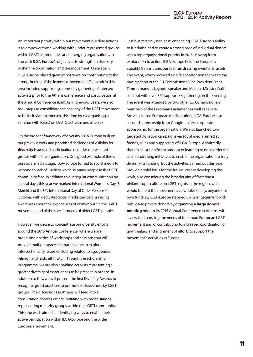An important priority within our movement building actions is to empower those working with under-represented groups within LGBTI communities and emerging organisations, in line with ILGA-Europe's objectives to strengthen diversity within the organisation and the movement. Once again, ILGA-Europe placed great importance on contributing to the strengthening of the **intersex** movement. Our work in this area included supporting a one-day gathering of intersex activists prior to the Athens conference and participation at the Annual Conference itself. As in previous years, we also took steps to consolidate the capacity of the LGBT movement to be inclusive on intersex, this time by co-organising a seminar with IGLYO on LGBTQ activism and intersex.

On the broader framework of diversity, ILGA-Europe built on our previous work and prioritised challenges of visibility for **diversity** issues and participation of under-represented groups within the organisation. One good example of this is our social media usage. ILGA-Europe turned to social media to respond to lack of visibility which so many people in the LGBTI community face. In addition to our regular communication on special days, this year we marked International Women's Day (8 March) and the UN International Day of Older Persons (1 October) with dedicated social media campaigns raising awareness about the experiences of women within the LGBTI movement and of the specific needs of older LGBTI people.

However, we chose to concentrate our diversity efforts around the 2015 Annual Conference, where we are organising a series of workshops and sessions that will provide multiple spaces for participants to explore intersectionality issues (including related to age, gender, religion and faith, ethnicity). Through the scholarship programme, we are also enabling activists representing a greater diversity of experiences to be present in Athens. In addition to this, we will present the first Diversity Awards to recognise good practices to promote inclusiveness by LGBTI groups. The discussions in Athens will feed into a consultation process we are initiating with organisations representing minority groups within the LGBTI community. This process is aimed at identifying ways to enable their active participation within ILGA-Europe and the wider European movement.

Last but certainly not least, enhancing ILGA-Europe's ability to fundraise and to create a strong base of individual donors was a top organisational priority in 2015. Moving from exploration to action, ILGA-Europe held the European Equality Gala in June, our first **fundraising** event in Brussels. The event, which received significant attention thanks to the participation of the EU Commission's Vice-President Frans Timmermans as keynote speaker and Maltese Minister Dalli, sold out with over 350 supporters gathering on the evening. The event was attended by two other EU Commissioners, members of the European Parliament as well as several Brussels-based European media outlets. ILGA-Europe also secured sponsorship from Google – a first corporate sponsorship for the organisation. We also launched two targeted donation campaigns via social media aimed at friends, allies and supporters of ILGA-Europe. Admittedly there is still a significant amount of learning to do in order for such fundraising initiatives to enable the organisation to truly diversify its funding. But the activities carried out this year provide a solid basis for the future. We are developing this work, also considering the broader aim of fostering a philanthropic culture on LGBTI rights in the region, which would benefit the movement as a whole. Finally, beyond our own funding, ILGA-Europe stepped up its engagement with public and private donors by organizing a **large donors' meeting** prior to its 2015 Annual Conference in Athens, with a view to discussing the needs of the broad European LGBTI movement and of contributing to increased coordination of grantmakers and alignment of efforts to support the movement's activities in Europe.